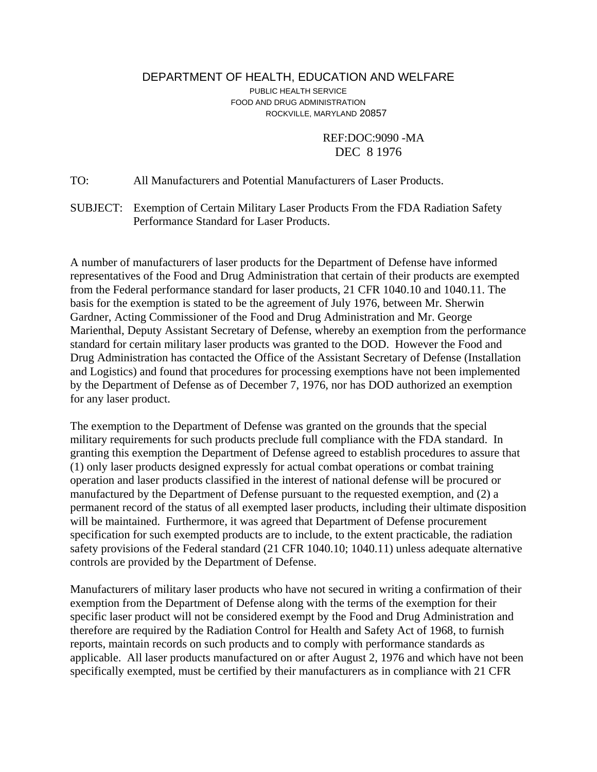## DEPARTMENT OF HEALTH, EDUCATION AND WELFARE PUBLIC HEALTH SERVICE FOOD AND DRUG ADMINISTRATION ROCKVILLE, MARYLAND 20857

 REF:DOC:9090 -MA DEC 8 1976

TO: All Manufacturers and Potential Manufacturers of Laser Products.

SUBJECT: Exemption of Certain Military Laser Products From the FDA Radiation Safety Performance Standard for Laser Products.

A number of manufacturers of laser products for the Department of Defense have informed representatives of the Food and Drug Administration that certain of their products are exempted from the Federal performance standard for laser products, 21 CFR 1040.10 and 1040.11. The basis for the exemption is stated to be the agreement of July 1976, between Mr. Sherwin Gardner, Acting Commissioner of the Food and Drug Administration and Mr. George Marienthal, Deputy Assistant Secretary of Defense, whereby an exemption from the performance standard for certain military laser products was granted to the DOD. However the Food and Drug Administration has contacted the Office of the Assistant Secretary of Defense (Installation and Logistics) and found that procedures for processing exemptions have not been implemented by the Department of Defense as of December 7, 1976, nor has DOD authorized an exemption for any laser product.

The exemption to the Department of Defense was granted on the grounds that the special military requirements for such products preclude full compliance with the FDA standard. In granting this exemption the Department of Defense agreed to establish procedures to assure that (1) only laser products designed expressly for actual combat operations or combat training operation and laser products classified in the interest of national defense will be procured or manufactured by the Department of Defense pursuant to the requested exemption, and (2) a permanent record of the status of all exempted laser products, including their ultimate disposition will be maintained. Furthermore, it was agreed that Department of Defense procurement specification for such exempted products are to include, to the extent practicable, the radiation safety provisions of the Federal standard (21 CFR 1040.10; 1040.11) unless adequate alternative controls are provided by the Department of Defense.

Manufacturers of military laser products who have not secured in writing a confirmation of their exemption from the Department of Defense along with the terms of the exemption for their specific laser product will not be considered exempt by the Food and Drug Administration and therefore are required by the Radiation Control for Health and Safety Act of 1968, to furnish reports, maintain records on such products and to comply with performance standards as applicable. All laser products manufactured on or after August 2, 1976 and which have not been specifically exempted, must be certified by their manufacturers as in compliance with 21 CFR